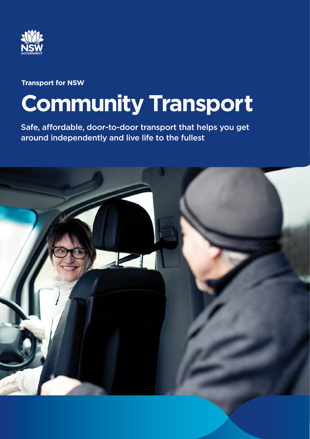

# **Transport for NSW**

# **Community Transport**

Safe, affordable, door-to-door transport that helps you get around independently and live life to the fullest

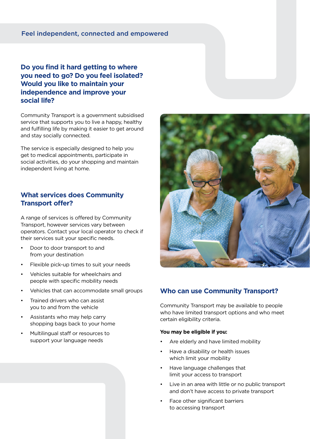#### Feel independent, connected and empowered

**Do you find it hard getting to where you need to go? Do you feel isolated? Would you like to maintain your independence and improve your social life?**

Community Transport is a government subsidised service that supports you to live a happy, healthy and fulfilling life by making it easier to get around and stay socially connected.

The service is especially designed to help you get to medical appointments, participate in social activities, do your shopping and maintain independent living at home.

#### **What services does Community Transport offer?**

A range of services is offered by Community Transport, however services vary between operators. Contact your local operator to check if their services suit your specific needs.

- Door to door transport to and from your destination
- Flexible pick-up times to suit your needs
- Vehicles suitable for wheelchairs and people with specific mobility needs
- Vehicles that can accommodate small groups
- Trained drivers who can assist you to and from the vehicle
- Assistants who may help carry shopping bags back to your home
- Multilingual staff or resources to support your language needs



### **Who can use Community Transport?**

Community Transport may be available to people who have limited transport options and who meet certain eligibility criteria.

#### **You may be eligible if you:**

- Are elderly and have limited mobility
- Have a disability or health issues which limit your mobility
- Have language challenges that limit your access to transport
- Live in an area with little or no public transport and don't have access to private transport
- Face other significant barriers to accessing transport